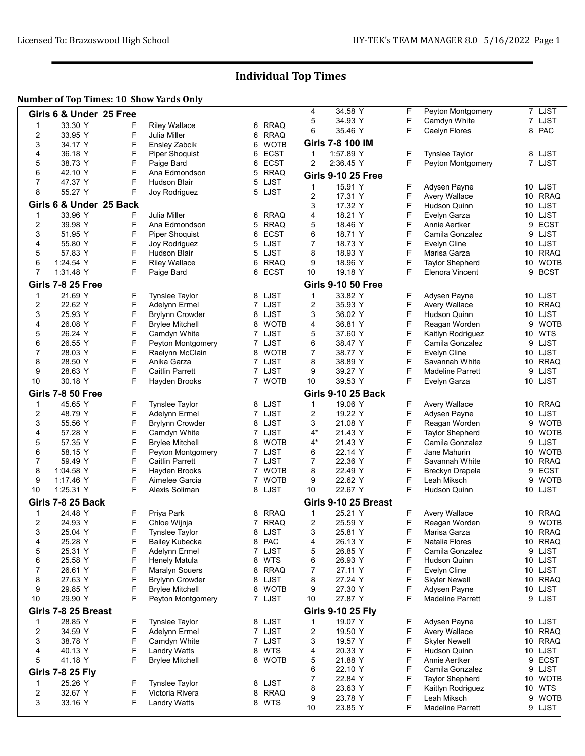# Individual Top Times

### Number of Top Times: 10 Show Yards Only

|                         | Girls 6 & Under 25 Free  |        |                                        |                |                  | 4          | 34.58 Y                   | F      | Peyton Montgomery                         | 7 LJST                  |
|-------------------------|--------------------------|--------|----------------------------------------|----------------|------------------|------------|---------------------------|--------|-------------------------------------------|-------------------------|
| $\mathbf 1$             | 33.30 Y                  | F      | <b>Riley Wallace</b>                   |                | 6 RRAQ           | 5          | 34.93 Y                   | F      | Camdyn White                              | 7 LJST                  |
| $\overline{\mathbf{c}}$ | 33.95 Y                  | F      | Julia Miller                           | 6              | <b>RRAQ</b>      | 6          | 35.46 Y                   | F      | Caelyn Flores                             | 8 PAC                   |
| 3                       | 34.17 Y                  | F      | Ensley Zabcik                          | 6              | <b>WOTB</b>      |            | Girls 7-8 100 IM          |        |                                           |                         |
| 4                       | 36.18 Y                  | F      | <b>Piper Shoquist</b>                  | 6              | <b>ECST</b>      | 1          | 1:57.89 Y                 | F      | <b>Tynslee Taylor</b>                     | 8 LJST                  |
| 5                       | 38.73 Y                  | F      | Paige Bard                             | 6              | <b>ECST</b>      | 2          | 2:36.45 Y                 | F      | Peyton Montgomery                         | 7 LJST                  |
| 6                       | 42.10 Y                  | F      | Ana Edmondson                          | 5              | <b>RRAQ</b>      |            |                           |        |                                           |                         |
| 7                       | 47.37 Y                  | F      | Hudson Blair                           |                | 5 LJST           |            | <b>Girls 9-10 25 Free</b> |        |                                           |                         |
| 8                       | 55.27 Y                  | F      | Joy Rodriguez                          |                | 5 LJST           | 1          | 15.91 Y                   | F      | Adysen Payne                              | 10 LJST                 |
|                         |                          |        |                                        |                |                  | 2          | 17.31 Y                   | F      | <b>Avery Wallace</b>                      | 10 RRAQ                 |
|                         | Girls 6 & Under 25 Back  |        |                                        |                |                  | 3          | 17.32 Y                   | F      | <b>Hudson Quinn</b>                       | LJST<br>10              |
| 1                       | 33.96 Y                  | F      | Julia Miller                           |                | 6 RRAQ           | 4          | 18.21 Y                   | F      | Evelyn Garza                              | 10 LJST                 |
| 2                       | 39.98 Y                  | F      | Ana Edmondson                          |                | 5 RRAQ           | 5          | 18.46 Y                   | F      | Annie Aertker                             | <b>ECST</b><br>9        |
| 3                       | 51.95 Y                  | F      | <b>Piper Shoquist</b>                  | 6              | <b>ECST</b>      | 6          | 18.71 Y                   | F      | Camila Gonzalez                           | LJST<br>9               |
| 4<br>5                  | 55.80 Y<br>57.83 Y       | F<br>F | Joy Rodriguez<br>Hudson Blair          |                | 5 LJST<br>5 LJST | 7<br>8     | 18.73 Y<br>18.93 Y        | F<br>F | Evelyn Cline<br>Marisa Garza              | 10 LJST<br><b>RRAQ</b>  |
| 6                       | 1.24.54 Y                | F      | <b>Riley Wallace</b>                   | 6              | <b>RRAQ</b>      | 9          | 18.96 Y                   | F      | <b>Taylor Shepherd</b>                    | 10<br><b>WOTB</b><br>10 |
| $\overline{7}$          | 1:31.48 Y                | F      | Paige Bard                             |                | 6 ECST           | 10         | 19.18 Y                   | F      | Elenora Vincent                           | 9<br><b>BCST</b>        |
|                         |                          |        |                                        |                |                  |            | <b>Girls 9-10 50 Free</b> |        |                                           |                         |
|                         | <b>Girls 7-8 25 Free</b> |        |                                        |                |                  |            |                           |        |                                           |                         |
| 1                       | 21.69 Y                  | F      | <b>Tynslee Taylor</b>                  |                | 8 LJST           | 1          | 33.82 Y                   | F      | Adysen Payne                              | 10 LJST                 |
| 2                       | 22.62 Y                  | F      | Adelynn Ermel                          |                | 7 LJST           | 2          | 35.93 Y                   | F      | Avery Wallace                             | 10 RRAQ                 |
| 3                       | 25.93 Y                  | F      | <b>Brylynn Crowder</b>                 |                | 8 LJST           | 3          | 36.02 Y                   | F      | Hudson Quinn                              | LJST<br>10              |
| 4                       | 26.08 Y                  | F      | <b>Brylee Mitchell</b>                 |                | 8 WOTB           | 4          | 36.81 Y                   | F      | Reagan Worden                             | <b>WOTB</b><br>9        |
| 5                       | 26.24 Y                  | F      | Camdyn White                           |                | 7 LJST           | 5          | 37.60 Y                   | F      | Kaitlyn Rodriguez                         | 10 WTS                  |
| 6                       | 26.55 Y                  | F      | Peyton Montgomery                      |                | 7 LJST           | 6          | 38.47 Y                   | F      | Camila Gonzalez                           | LJST<br>9               |
| $\overline{7}$<br>8     | 28.03 Y                  | F<br>F | Raelynn McClain                        |                | 8 WOTB<br>7 LJST | 7<br>8     | 38.77 Y                   | F<br>F | Evelyn Cline                              | 10 LJST                 |
| 9                       | 28.50 Y<br>28.63 Y       | F      | Anika Garza<br><b>Caitlin Parrett</b>  |                | 7 LJST           | 9          | 38.89 Y<br>39.27 Y        | F      | Savannah White<br><b>Madeline Parrett</b> | 10 RRAQ<br>LJST<br>9    |
| 10                      | 30.18 Y                  | F      | Hayden Brooks                          |                | 7 WOTB           | 10         | 39.53 Y                   | F      | Evelyn Garza                              | 10 LJST                 |
|                         |                          |        |                                        |                |                  |            |                           |        |                                           |                         |
|                         | <b>Girls 7-8 50 Free</b> |        |                                        |                |                  |            | <b>Girls 9-10 25 Back</b> |        |                                           |                         |
| 1                       | 45.65 Y                  | F      | <b>Tynslee Taylor</b>                  |                | 8 LJST           | 1          | 19.06 Y                   | F      | Avery Wallace                             | 10 RRAQ                 |
| 2                       | 48.79 Y                  | F<br>F | Adelynn Ermel                          |                | 7 LJST           | 2          | 19.22 Y                   | F      | Adysen Payne                              | 10 LJST<br><b>WOTB</b>  |
| 3<br>4                  | 55.56 Y<br>57.28 Y       | F      | <b>Brylynn Crowder</b>                 |                | 8 LJST<br>7 LJST | 3<br>$4^*$ | 21.08 Y<br>21.43 Y        | F<br>F | Reagan Worden                             | 9<br>10 WOTB            |
| 5                       | 57.35 Y                  | F      | Camdyn White<br><b>Brylee Mitchell</b> |                | 8 WOTB           | 4*         | 21.43 Y                   | F      | <b>Taylor Shepherd</b><br>Camila Gonzalez | LJST<br>9               |
| 6                       | 58.15 Y                  | F      | Peyton Montgomery                      |                | 7 LJST           | 6          | 22.14 Y                   | F      | Jane Mahurin                              | <b>WOTB</b><br>10       |
| 7                       | 59.49 Y                  | F      | <b>Caitlin Parrett</b>                 |                | 7 LJST           | 7          | 22.36 Y                   | F      | Savannah White                            | 10 RRAQ                 |
| 8                       | 1:04.58 Y                | F      | Hayden Brooks                          |                | 7 WOTB           | 8          | 22.49 Y                   | F      | Breckyn Drapela                           | <b>ECST</b><br>9        |
| 9                       | 1:17.46 Y                | F      | Aimelee Garcia                         | $\overline{7}$ | <b>WOTB</b>      | 9          | 22.62 Y                   | F      | Leah Miksch                               | <b>WOTB</b><br>9        |
| 10                      | 1:25.31 Y                | F      | Alexis Soliman                         |                | 8 LJST           | 10         | 22.67 Y                   | F      | Hudson Quinn                              | 10 LJST                 |
|                         | <b>Girls 7-8 25 Back</b> |        |                                        |                |                  |            | Girls 9-10 25 Breast      |        |                                           |                         |
| 1                       | 24.48 Y                  | F      | Priya Park                             |                | 8 RRAQ           | 1          | 25.21 Y                   | F      | <b>Avery Wallace</b>                      | 10 RRAQ                 |
| 2                       | 24.93 Y                  | F      | Chloe Wijnja                           |                | 7 RRAQ           | 2          | 25.59 Y                   | F      | Reagan Worden                             | 9 WOTB                  |
| 3                       | 25.04 Y                  | F      | Tynslee Taylor                         |                | 8 LJST           | 3          | 25.81 Y                   | F      | Marisa Garza                              | 10 RRAQ                 |
| 4                       | 25.28 Y                  | F      | Bailey Kubecka                         |                | 8 PAC            | 4          | 26.13 Y                   | F      | Natalia Flores                            | 10 RRAQ                 |
| 5                       | 25.31 Y                  | F      | Adelynn Ermel                          |                | 7 LJST           | 5          | 26.85 Y                   | F      | Camila Gonzalez                           | 9 LJST                  |
| 6                       | 25.58 Y                  | F      | Henely Matula                          | 8              | <b>WTS</b>       | 6          | 26.93 Y                   | F      | Hudson Quinn                              | 10 LJST                 |
| 7                       | 26.61 Y                  | F      | Maralyn Souers                         |                | 8 RRAQ           | 7          | 27.11 Y                   | F      | Evelyn Cline                              | 10 LJST                 |
| 8                       | 27.63 Y                  | F      | <b>Brylynn Crowder</b>                 |                | 8 LJST           | 8          | 27.24 Y                   | F      | <b>Skyler Newell</b>                      | 10 RRAQ                 |
| 9                       | 29.85 Y                  | F      | <b>Brylee Mitchell</b>                 |                | 8 WOTB           | 9          | 27.30 Y                   | F      | Adysen Payne                              | 10 LJST                 |
| 10                      | 29.90 Y                  | F      | Peyton Montgomery                      |                | 7 LJST           | 10         | 27.87 Y                   | F      | <b>Madeline Parrett</b>                   | 9 LJST                  |
|                         | Girls 7-8 25 Breast      |        |                                        |                |                  |            | <b>Girls 9-10 25 Fly</b>  |        |                                           |                         |
| 1                       | 28.85 Y                  | F      | <b>Tynslee Taylor</b>                  |                | 8 LJST           | 1          | 19.07 Y                   | F      | Adysen Payne                              | 10 LJST                 |
| 2                       | 34.59 Y                  | F      | Adelynn Ermel                          |                | 7 LJST           | 2          | 19.50 Y                   | F      | Avery Wallace                             | 10 RRAQ                 |
| 3                       | 38.78 Y                  | F      | Camdyn White                           |                | 7 LJST           | 3          | 19.57 Y                   | F      | <b>Skyler Newell</b>                      | 10 RRAQ                 |
| 4                       | 40.13 Y                  | F      | <b>Landry Watts</b>                    |                | 8 WTS            | 4          | 20.33 Y                   | F      | Hudson Quinn                              | 10 LJST                 |
| 5                       | 41.18 Y                  | F      | <b>Brylee Mitchell</b>                 |                | 8 WOTB           | 5          | 21.88 Y                   | F      | Annie Aertker                             | ECST<br>9               |
|                         | <b>Girls 7-8 25 Fly</b>  |        |                                        |                |                  | 6          | 22.10 Y                   | F      | Camila Gonzalez                           | LJST<br>9               |
| 1                       | 25.26 Y                  | F      | <b>Tynslee Taylor</b>                  |                | 8 LJST           | 7          | 22.84 Y                   | F      | <b>Taylor Shepherd</b>                    | 10 WOTB                 |
| 2                       | 32.67 Y                  | F      | Victoria Rivera                        |                | 8 RRAQ           | 8          | 23.63 Y                   | F      | Kaitlyn Rodriguez                         | 10 WTS                  |
| 3                       | 33.16 Y                  | F      | <b>Landry Watts</b>                    |                | 8 WTS            | 9          | 23.78 Y                   | F      | Leah Miksch                               | <b>WOTB</b><br>9        |
|                         |                          |        |                                        |                |                  | 10         | 23.85 Y                   | F      | <b>Madeline Parrett</b>                   | 9 LJST                  |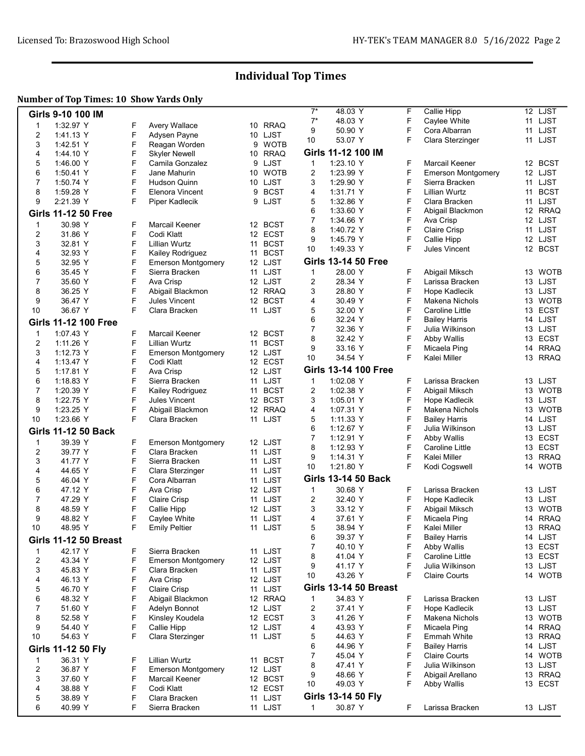### Individual Top Times

### Number of Top Times: 10 Show Yards Only

| Girls 9-10 100 IM            |        |                                         |    |                       | $7^*$  | 48.03 Y                      | F      | Callie Hipp                          | 12 LJST                |
|------------------------------|--------|-----------------------------------------|----|-----------------------|--------|------------------------------|--------|--------------------------------------|------------------------|
|                              |        |                                         |    |                       | $7^*$  | 48.03 Y                      | F      | Caylee White                         | 11 LJST                |
| 1:32.97 Y<br>$\mathbf{1}$    | F      | <b>Avery Wallace</b>                    |    | 10 RRAQ               | 9      | 50.90 Y                      | F      | Cora Albarran                        | 11 LJST                |
| 2<br>1.41.13 Y               | F      | Adysen Payne                            |    | 10 LJST               | 10     | 53.07 Y                      | F      | Clara Sterzinger                     | 11 LJST                |
| 3<br>1:42.51 Y               | F      | Reagan Worden                           |    | 9 WOTB<br><b>RRAQ</b> |        | Girls 11-12 100 IM           |        |                                      |                        |
| 4<br>1.44.10 Y               | F<br>F | <b>Skyler Newell</b><br>Camila Gonzalez | 10 |                       |        |                              | F      | Marcail Keener                       |                        |
| 5<br>1:46.00 Y               | F      | Jane Mahurin                            |    | 9 LJST<br>10 WOTB     | 1      | 1:23.10 Y                    | F      |                                      | 12 BCST<br>12 LJST     |
| 6<br>1:50.41 Y<br>7          | F      |                                         |    | 10 LJST               | 2      | 1:23.99 Y                    | F      | <b>Emerson Montgomery</b>            | 11 LJST                |
| 1:50.74 Y                    | F      | <b>Hudson Quinn</b>                     |    |                       | 3      | 1:29.90 Y                    | F      | Sierra Bracken                       |                        |
| 8<br>1:59.28 Y               | F      | Elenora Vincent                         | 9  | <b>BCST</b>           | 4      | 1.31.71 Y                    |        | Lillian Wurtz                        | 11 BCST                |
| 9<br>2:21.39 Y               |        | Piper Kadlecik                          |    | 9 LJST                | 5<br>6 | 1:32.86 Y<br>1:33.60 Y       | F<br>F | Clara Bracken<br>Abigail Blackmon    | 11 LJST<br>12 RRAQ     |
| <b>Girls 11-12 50 Free</b>   |        |                                         |    |                       | 7      | 1:34.66 Y                    | F      | Ava Crisp                            | 12 LJST                |
| 30.98 Y<br>$\mathbf{1}$      | F      | Marcail Keener                          |    | 12 BCST               | 8      | 1:40.72 Y                    | F      | Claire Crisp                         | LJST<br>11             |
| 2<br>31.86 Y                 | F      | Codi Klatt                              |    | 12 ECST               | 9      | 1.45.79 Y                    | F      | Callie Hipp                          | 12 LJST                |
| 3<br>32.81 Y                 | F      | Lillian Wurtz                           |    | 11 BCST               | 10     | 1:49.33 Y                    | F      | Jules Vincent                        | 12 BCST                |
| 4<br>32.93 Y                 | F      | Kailey Rodriguez                        | 11 | <b>BCST</b>           |        |                              |        |                                      |                        |
| 5<br>32.95 Y                 | F      | <b>Emerson Montgomery</b>               |    | 12 LJST               |        | <b>Girls 13-14 50 Free</b>   |        |                                      |                        |
| 6<br>35.45 Y                 | F      | Sierra Bracken                          |    | 11 LJST               | 1      | 28.00 Y                      | F      | Abigail Miksch                       | 13 WOTB                |
| $\overline{7}$<br>35.60 Y    | F      | Ava Crisp                               |    | 12 LJST               | 2      | 28.34 Y                      | F      | Larissa Bracken                      | 13 LJST                |
| 8<br>36.25 Y                 | F      | Abigail Blackmon                        |    | 12 RRAQ               | 3      | 28.80 Y                      | F      | Hope Kadlecik                        | 13 LJST                |
| 9<br>36.47 Y                 | F      | Jules Vincent                           |    | 12 BCST               | 4      | 30.49 Y                      | F      | Makena Nichols                       | 13 WOTB                |
| 10<br>36.67 Y                | F      | Clara Bracken                           |    | 11 LJST               | 5      | 32.00 Y                      | F      | Caroline Little                      | <b>ECST</b><br>13      |
| <b>Girls 11-12 100 Free</b>  |        |                                         |    |                       | 6      | 32.24 Y                      | F      | Bailey Harris                        | 14 LJST                |
| $\mathbf{1}$<br>1.07.43 Y    | F      | <b>Marcail Keener</b>                   |    | 12 BCST               | 7      | 32.36 Y                      | F      | Julia Wilkinson                      | 13 LJST                |
| $\overline{2}$<br>1:11.26 Y  | F      | Lillian Wurtz                           | 11 | <b>BCST</b>           | 8      | 32.42 Y                      | F      | Abby Wallis                          | 13 ECST                |
| 3<br>1:12.73 Y               | F      | <b>Emerson Montgomery</b>               |    | 12 LJST               | 9      | 33.16 Y                      | F      | Micaela Ping                         | 14 RRAQ                |
| 4<br>1:13.47 Y               | F      | Codi Klatt                              |    | 12 ECST               | 10     | 34.54 Y                      | F      | Kalei Miller                         | 13 RRAQ                |
| 5<br>1:17.81 Y               | F      | Ava Crisp                               |    | 12 LJST               |        | <b>Girls 13-14 100 Free</b>  |        |                                      |                        |
| 6<br>1:18.83 Y               | F      | Sierra Bracken                          |    | 11 LJST               | 1      | 1:02.08 Y                    | F      | Larissa Bracken                      | 13 LJST                |
| 7<br>1:20.39 Y               | F      | Kailey Rodriguez                        | 11 | <b>BCST</b>           | 2      | 1:02.38 Y                    | F      | Abigail Miksch                       | <b>WOTB</b><br>13      |
| 8<br>1:22.75 Y               | F      | Jules Vincent                           |    | 12 BCST               | 3      | 1:05.01 Y                    | F      | Hope Kadlecik                        | 13 LJST                |
| 9<br>1:23.25 Y               | F      | Abigail Blackmon                        |    | 12 RRAQ               | 4      | 1.07.31 Y                    | F      | Makena Nichols                       | 13 WOTB                |
| 10<br>1:23.66 Y              | F      | Clara Bracken                           |    | 11 LJST               | 5      | 1:11.33 Y                    | F      | Bailey Harris                        | 14 LJST                |
| <b>Girls 11-12 50 Back</b>   |        |                                         |    |                       | 6      | 1:12.67 Y                    | F      | Julia Wilkinson                      | 13 LJST                |
|                              |        |                                         |    |                       | 7      | 1:12.91 Y                    | F      | Abby Wallis                          | 13 ECST                |
| 39.39 Y<br>$\mathbf{1}$      | F      | <b>Emerson Montgomery</b>               |    | 12 LJST               | 8      | 1:12.93 Y                    | F      | Caroline Little                      | <b>ECST</b><br>13      |
| 2<br>39.77 Y                 | F      | Clara Bracken                           |    | 11 LJST               | 9      | 1:14.31 Y                    | F      | Kalei Miller                         | 13 RRAQ                |
| 3<br>41.77 Y                 | F      | Sierra Bracken                          |    | 11 LJST               | 10     | 1:21.80 Y                    | F      | Kodi Cogswell                        | 14 WOTB                |
| 4<br>44.65 Y                 | F      | Clara Sterzinger                        |    | 11 LJST               |        | <b>Girls 13-14 50 Back</b>   |        |                                      |                        |
| 5<br>46.04 Y                 | F<br>F | Cora Albarran                           |    | 11 LJST               |        |                              | F      |                                      |                        |
| 6<br>47.12 Y                 |        | Ava Crisp                               |    | 12 LJST               | 1      | 30.68 Y                      |        | Larissa Bracken                      | 13 LJST                |
| 7<br>47.29 Y                 | F<br>F | Claire Crisp                            |    | 11 LJST               | 2      | 32.40 Y                      | F<br>F | Hope Kadlecik                        | 13 LJST<br><b>WOTB</b> |
| 8<br>48.59 Y                 | F      | Callie Hipp                             |    | 12 LJST               | 3      | 33.12 Y                      | F      | Abigail Miksch                       | 13                     |
| 9<br>48.82 Y                 | F      | Caylee White                            |    | 11 LJST               | 4      | 37.61 Y                      | F      | Micaela Ping                         | <b>RRAQ</b><br>14      |
| 10<br>48.95 Y                |        | <b>Emily Peltier</b>                    |    | 11 LJST               | 5      | 38.94 Y<br>39.37 Y           | F      | Kalei Miller<br><b>Bailey Harris</b> | 13 RRAQ<br>14 LJST     |
| <b>Girls 11-12 50 Breast</b> |        |                                         |    |                       | 6<br>7 | 40.10 Y                      | F      | Abby Wallis                          | 13 ECST                |
| 42.17 Y<br>$\mathbf{1}$      | F      | Sierra Bracken                          |    | 11 LJST               | 8      | 41.04 Y                      | F      | Caroline Little                      | 13 ECST                |
| 2<br>43.34 Y                 | F      | <b>Emerson Montgomery</b>               |    | 12 LJST               | 9      | 41.17 Y                      | F      | Julia Wilkinson                      | 13 LJST                |
| 3<br>45.83 Y                 | F      | Clara Bracken                           |    | 11 LJST               | 10     | 43.26 Y                      | F      | <b>Claire Courts</b>                 | 14 WOTB                |
| 4<br>46.13 Y                 | F      | Ava Crisp                               |    | 12 LJST               |        |                              |        |                                      |                        |
| 5<br>46.70 Y                 | F      | Claire Crisp                            |    | 11 LJST               |        | <b>Girls 13-14 50 Breast</b> |        |                                      |                        |
| 6<br>48.32 Y                 | F      | Abigail Blackmon                        |    | 12 RRAQ               | 1      | 34.83 Y                      | F      | Larissa Bracken                      | 13 LJST                |
| $\overline{7}$<br>51.60 Y    | F      | Adelyn Bonnot                           |    | 12 LJST               | 2      | 37.41 Y                      | F      | Hope Kadlecik                        | 13 LJST                |
| 8<br>52.58 Y                 | F      | Kinsley Koudela                         |    | 12 ECST               | 3      | 41.26 Y                      | F      | Makena Nichols                       | 13 WOTB                |
| 9<br>54.40 Y                 | F      | Callie Hipp                             |    | 12 LJST               | 4      | 43.93 Y                      | F      | Micaela Ping                         | 14 RRAQ                |
| 10<br>54.63 Y                | F      | Clara Sterzinger                        |    | 11 LJST               | 5      | 44.63 Y                      | F      | Emmah White                          | 13 RRAQ                |
| Girls 11-12 50 Fly           |        |                                         |    |                       | 6      | 44.96 Y                      | F      | <b>Bailey Harris</b>                 | 14 LJST                |
| 36.31 Y<br>$\mathbf{1}$      | F      | <b>Lillian Wurtz</b>                    |    | 11 BCST               | 7      | 45.04 Y                      | F      | <b>Claire Courts</b>                 | 14 WOTB                |
| $\overline{c}$<br>36.87 Y    | F      | <b>Emerson Montgomery</b>               |    | 12 LJST               | 8      | 47.41 Y                      | F      | Julia Wilkinson                      | 13 LJST                |
| 3<br>37.60 Y                 | F      | Marcail Keener                          |    | 12 BCST               | 9      | 48.66 Y                      | F      | Abigail Arellano                     | 13 RRAQ                |
| 4<br>38.88 Y                 | F      | Codi Klatt                              |    | 12 ECST               | 10     | 49.03 Y                      | F      | Abby Wallis                          | 13 ECST                |
| 5<br>38.89 Y                 | F      | Clara Bracken                           |    | 11 LJST               |        | Girls 13-14 50 Fly           |        |                                      |                        |
| 6<br>40.99 Y                 | F      | Sierra Bracken                          |    | 11 LJST               | 1      | 30.87 Y                      | F      | Larissa Bracken                      | 13 LJST                |
|                              |        |                                         |    |                       |        |                              |        |                                      |                        |